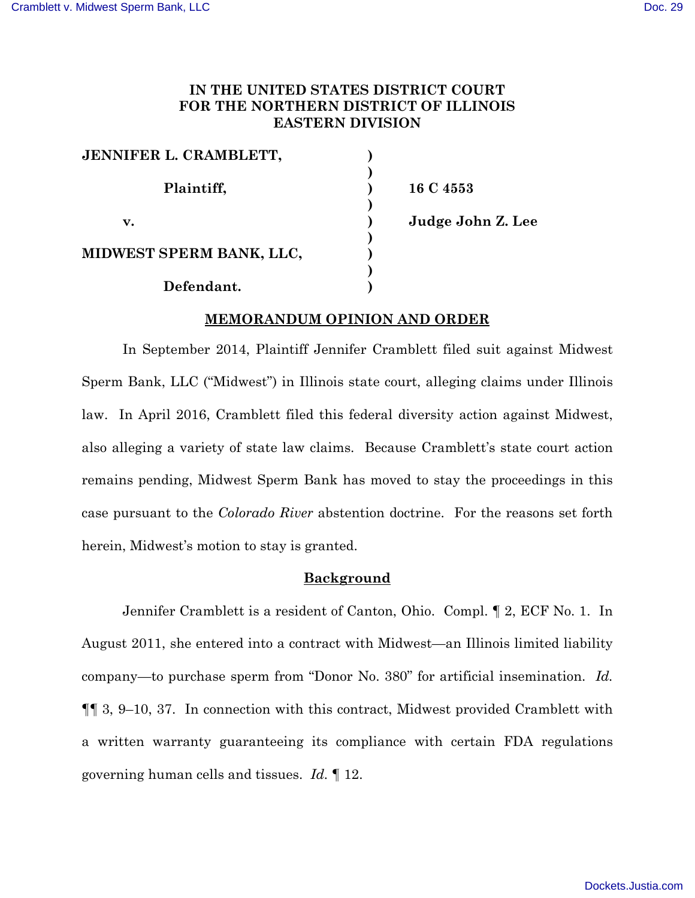# **IN THE UNITED STATES DISTRICT COURT FOR THE NORTHERN DISTRICT OF ILLINOIS EASTERN DIVISION**

| JENNIFER L. CRAMBLETT,   |  |
|--------------------------|--|
|                          |  |
| Plaintiff,               |  |
|                          |  |
| v.                       |  |
|                          |  |
| MIDWEST SPERM BANK, LLC, |  |
|                          |  |
| Defendant.               |  |

**16 C 4553 v. ) Judge John Z. Lee**

## **MEMORANDUM OPINION AND ORDER**

In September 2014, Plaintiff Jennifer Cramblett filed suit against Midwest Sperm Bank, LLC ("Midwest") in Illinois state court, alleging claims under Illinois law. In April 2016, Cramblett filed this federal diversity action against Midwest, also alleging a variety of state law claims. Because Cramblett's state court action remains pending, Midwest Sperm Bank has moved to stay the proceedings in this case pursuant to the *Colorado River* abstention doctrine. For the reasons set forth herein, Midwest's motion to stay is granted.

### **Background**

Jennifer Cramblett is a resident of Canton, Ohio. Compl. ¶ 2, ECF No. 1. In August 2011, she entered into a contract with Midwest—an Illinois limited liability company—to purchase sperm from "Donor No. 380" for artificial insemination. *Id.* ¶¶ 3, 9–10, 37. In connection with this contract, Midwest provided Cramblett with a written warranty guaranteeing its compliance with certain FDA regulations governing human cells and tissues. *Id.* ¶ 12.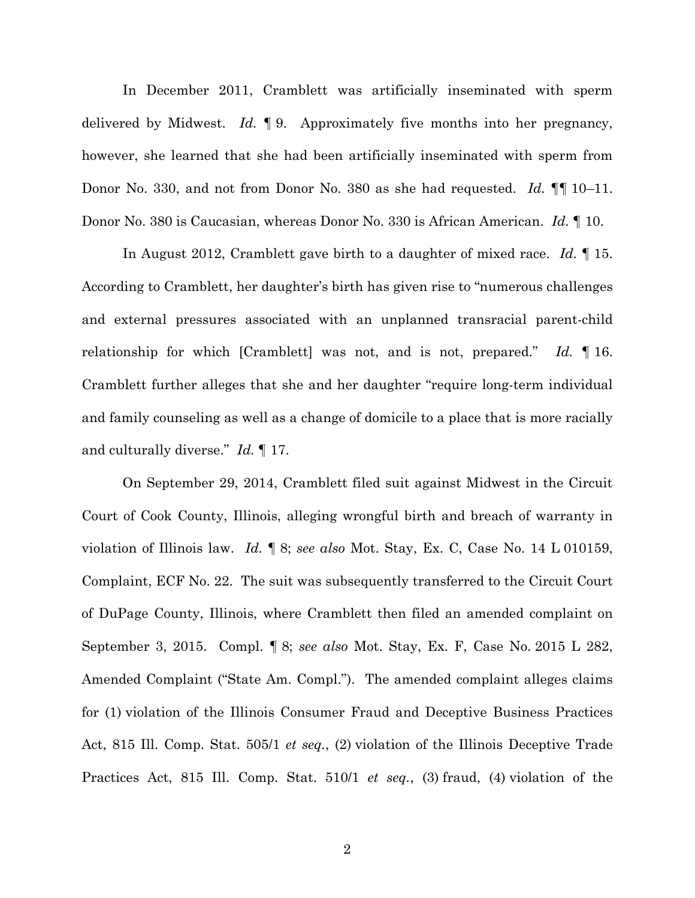In December 2011, Cramblett was artificially inseminated with sperm delivered by Midwest. *Id.* ¶ 9. Approximately five months into her pregnancy, however, she learned that she had been artificially inseminated with sperm from Donor No. 330, and not from Donor No. 380 as she had requested. *Id.* ¶¶ 10–11. Donor No. 380 is Caucasian, whereas Donor No. 330 is African American. *Id.* ¶ 10.

In August 2012, Cramblett gave birth to a daughter of mixed race. *Id.* ¶ 15. According to Cramblett, her daughter's birth has given rise to "numerous challenges and external pressures associated with an unplanned transracial parent-child relationship for which [Cramblett] was not, and is not, prepared." *Id.* ¶ 16. Cramblett further alleges that she and her daughter "require long-term individual and family counseling as well as a change of domicile to a place that is more racially and culturally diverse." *Id.* ¶ 17.

On September 29, 2014, Cramblett filed suit against Midwest in the Circuit Court of Cook County, Illinois, alleging wrongful birth and breach of warranty in violation of Illinois law. *Id.* ¶ 8; *see also* Mot. Stay, Ex. C, Case No. 14 L 010159, Complaint, ECF No. 22. The suit was subsequently transferred to the Circuit Court of DuPage County, Illinois, where Cramblett then filed an amended complaint on September 3, 2015. Compl. ¶ 8; *see also* Mot. Stay, Ex. F, Case No. 2015 L 282, Amended Complaint ("State Am. Compl."). The amended complaint alleges claims for (1) violation of the Illinois Consumer Fraud and Deceptive Business Practices Act, 815 Ill. Comp. Stat. 505/1 *et seq.*, (2) violation of the Illinois Deceptive Trade Practices Act, 815 Ill. Comp. Stat. 510/1 *et seq.*, (3) fraud, (4) violation of the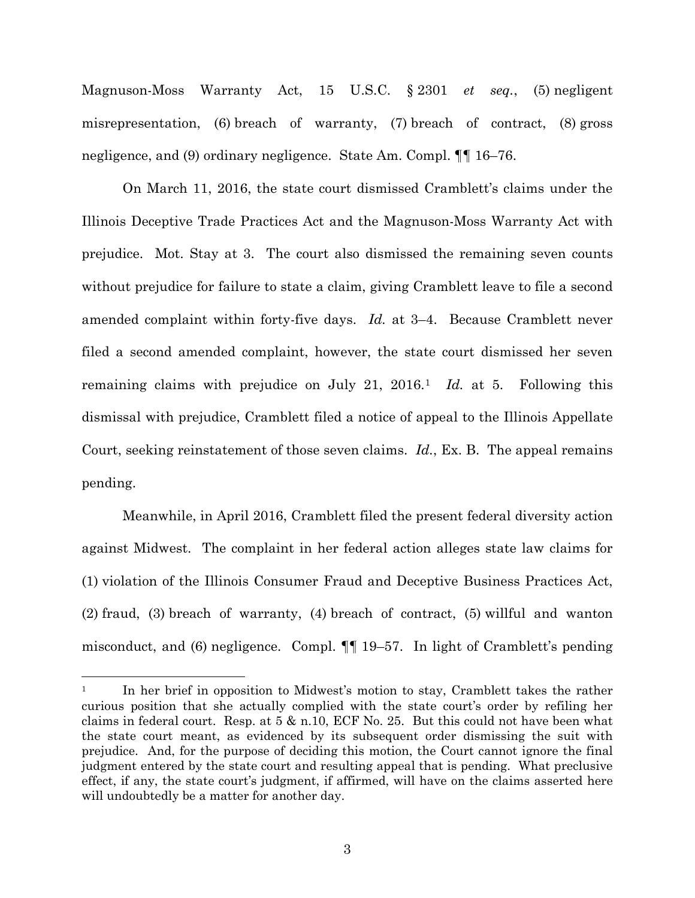Magnuson-Moss Warranty Act, 15 U.S.C. § 2301 *et seq.*, (5) negligent misrepresentation, (6) breach of warranty, (7) breach of contract, (8) gross negligence, and (9) ordinary negligence. State Am. Compl. ¶¶ 16–76.

On March 11, 2016, the state court dismissed Cramblett's claims under the Illinois Deceptive Trade Practices Act and the Magnuson-Moss Warranty Act with prejudice. Mot. Stay at 3. The court also dismissed the remaining seven counts without prejudice for failure to state a claim, giving Cramblett leave to file a second amended complaint within forty-five days. *Id.* at 3–4. Because Cramblett never filed a second amended complaint, however, the state court dismissed her seven remaining claims with prejudice on July 21, 2016. [1](#page-2-0) *Id.* at 5. Following this dismissal with prejudice, Cramblett filed a notice of appeal to the Illinois Appellate Court, seeking reinstatement of those seven claims. *Id.*, Ex. B. The appeal remains pending.

Meanwhile, in April 2016, Cramblett filed the present federal diversity action against Midwest. The complaint in her federal action alleges state law claims for (1) violation of the Illinois Consumer Fraud and Deceptive Business Practices Act, (2) fraud, (3) breach of warranty, (4) breach of contract, (5) willful and wanton misconduct, and (6) negligence. Compl. ¶¶ 19–57. In light of Cramblett's pending

 $\overline{a}$ 

<span id="page-2-0"></span><sup>1</sup> In her brief in opposition to Midwest's motion to stay, Cramblett takes the rather curious position that she actually complied with the state court's order by refiling her claims in federal court. Resp. at 5 & n.10, ECF No. 25. But this could not have been what the state court meant, as evidenced by its subsequent order dismissing the suit with prejudice. And, for the purpose of deciding this motion, the Court cannot ignore the final judgment entered by the state court and resulting appeal that is pending. What preclusive effect, if any, the state court's judgment, if affirmed, will have on the claims asserted here will undoubtedly be a matter for another day.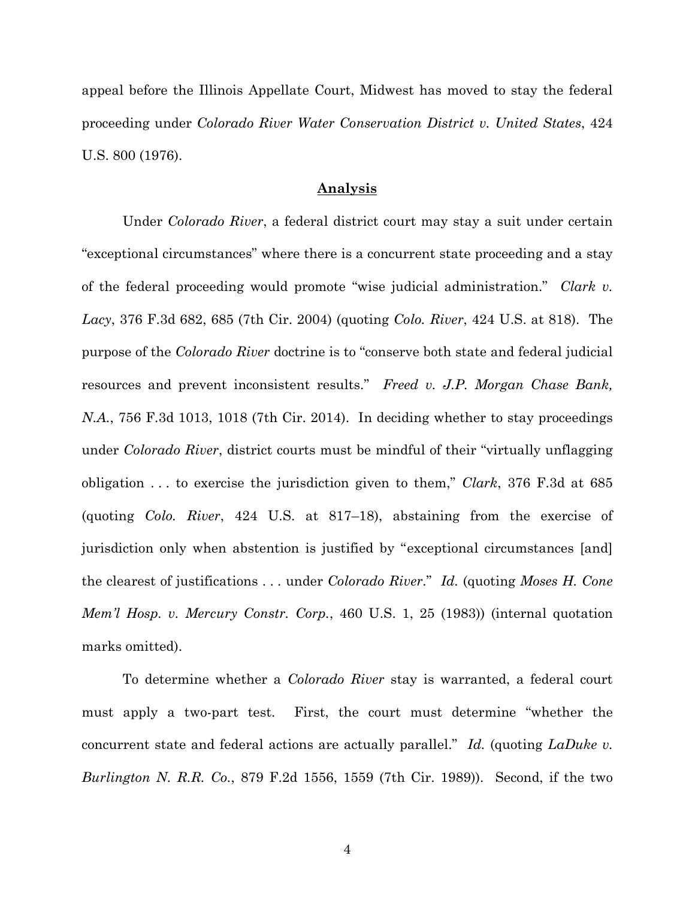appeal before the Illinois Appellate Court, Midwest has moved to stay the federal proceeding under *Colorado River Water Conservation District v. United States*, 424 U.S. 800 (1976).

## **Analysis**

Under *Colorado River*, a federal district court may stay a suit under certain "exceptional circumstances" where there is a concurrent state proceeding and a stay of the federal proceeding would promote "wise judicial administration." *Clark v. Lacy*, 376 F.3d 682, 685 (7th Cir. 2004) (quoting *Colo. River*, 424 U.S. at 818). The purpose of the *Colorado River* doctrine is to "conserve both state and federal judicial resources and prevent inconsistent results." *Freed v. J.P. Morgan Chase Bank, N.A.*, 756 F.3d 1013, 1018 (7th Cir. 2014). In deciding whether to stay proceedings under *Colorado River*, district courts must be mindful of their "virtually unflagging obligation . . . to exercise the jurisdiction given to them," *Clark*, 376 F.3d at 685 (quoting *Colo. River*, 424 U.S. at 817–18), abstaining from the exercise of jurisdiction only when abstention is justified by "exceptional circumstances [and] the clearest of justifications . . . under *Colorado River*." *Id.* (quoting *Moses H. Cone Mem'l Hosp. v. Mercury Constr. Corp.*, 460 U.S. 1, 25 (1983)) (internal quotation marks omitted).

To determine whether a *Colorado River* stay is warranted, a federal court must apply a two-part test. First, the court must determine "whether the concurrent state and federal actions are actually parallel." *Id.* (quoting *LaDuke v. Burlington N. R.R. Co.*, 879 F.2d 1556, 1559 (7th Cir. 1989)). Second, if the two

4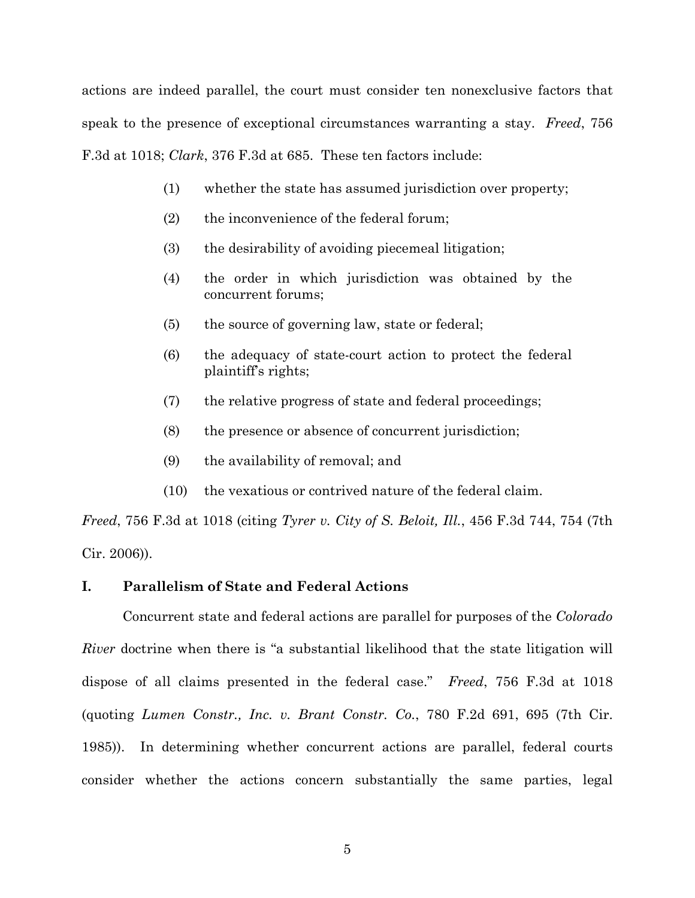actions are indeed parallel, the court must consider ten nonexclusive factors that speak to the presence of exceptional circumstances warranting a stay. *Freed*, 756 F.3d at 1018; *Clark*, 376 F.3d at 685. These ten factors include:

- (1) whether the state has assumed jurisdiction over property;
- (2) the inconvenience of the federal forum;
- (3) the desirability of avoiding piecemeal litigation;
- (4) the order in which jurisdiction was obtained by the concurrent forums;
- (5) the source of governing law, state or federal;
- (6) the adequacy of state-court action to protect the federal plaintiff's rights;
- (7) the relative progress of state and federal proceedings;
- (8) the presence or absence of concurrent jurisdiction;
- (9) the availability of removal; and
- (10) the vexatious or contrived nature of the federal claim.

*Freed*, 756 F.3d at 1018 (citing *Tyrer v. City of S. Beloit, Ill.*, 456 F.3d 744, 754 (7th Cir. 2006)).

# **I. Parallelism of State and Federal Actions**

Concurrent state and federal actions are parallel for purposes of the *Colorado River* doctrine when there is "a substantial likelihood that the state litigation will dispose of all claims presented in the federal case." *Freed*, 756 F.3d at 1018 (quoting *Lumen Constr., Inc. v. Brant Constr. Co.*, 780 F.2d 691, 695 (7th Cir. 1985)). In determining whether concurrent actions are parallel, federal courts consider whether the actions concern substantially the same parties, legal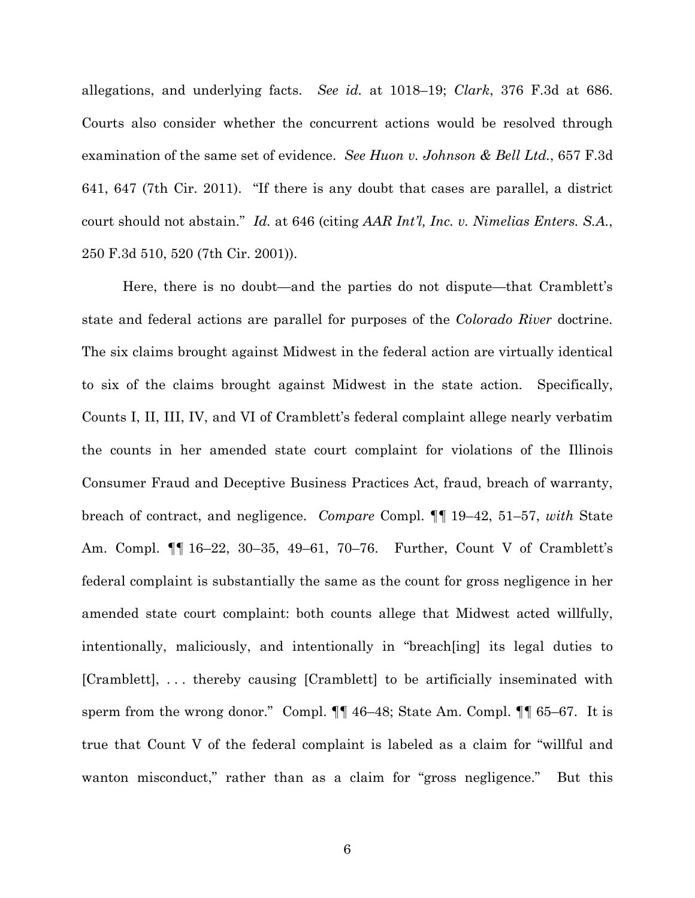allegations, and underlying facts. *See id.* at 1018–19; *Clark*, 376 F.3d at 686. Courts also consider whether the concurrent actions would be resolved through examination of the same set of evidence. *See Huon v. Johnson & Bell Ltd.*, 657 F.3d 641, 647 (7th Cir. 2011). "If there is any doubt that cases are parallel, a district court should not abstain." *Id.* at 646 (citing *AAR Int'l, Inc. v. Nimelias Enters. S.A.*, 250 F.3d 510, 520 (7th Cir. 2001)).

Here, there is no doubt—and the parties do not dispute—that Cramblett's state and federal actions are parallel for purposes of the *Colorado River* doctrine. The six claims brought against Midwest in the federal action are virtually identical to six of the claims brought against Midwest in the state action. Specifically, Counts I, II, III, IV, and VI of Cramblett's federal complaint allege nearly verbatim the counts in her amended state court complaint for violations of the Illinois Consumer Fraud and Deceptive Business Practices Act, fraud, breach of warranty, breach of contract, and negligence. *Compare* Compl. ¶¶ 19–42, 51–57, *with* State Am. Compl. ¶¶ 16–22, 30–35, 49–61, 70–76. Further, Count V of Cramblett's federal complaint is substantially the same as the count for gross negligence in her amended state court complaint: both counts allege that Midwest acted willfully, intentionally, maliciously, and intentionally in "breach[ing] its legal duties to [Cramblett], . . . thereby causing [Cramblett] to be artificially inseminated with sperm from the wrong donor." Compl.  $\P\P$  46–48; State Am. Compl.  $\P$  65–67. It is true that Count V of the federal complaint is labeled as a claim for "willful and wanton misconduct," rather than as a claim for "gross negligence." But this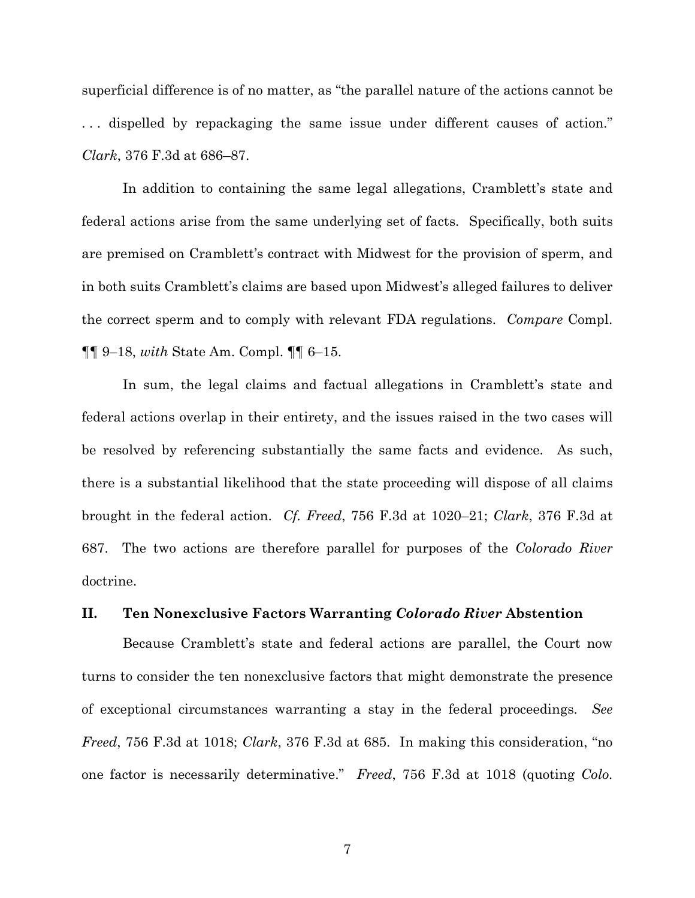superficial difference is of no matter, as "the parallel nature of the actions cannot be . . . dispelled by repackaging the same issue under different causes of action." *Clark*, 376 F.3d at 686–87.

In addition to containing the same legal allegations, Cramblett's state and federal actions arise from the same underlying set of facts. Specifically, both suits are premised on Cramblett's contract with Midwest for the provision of sperm, and in both suits Cramblett's claims are based upon Midwest's alleged failures to deliver the correct sperm and to comply with relevant FDA regulations. *Compare* Compl. ¶¶ 9–18, *with* State Am. Compl. ¶¶ 6–15.

In sum, the legal claims and factual allegations in Cramblett's state and federal actions overlap in their entirety, and the issues raised in the two cases will be resolved by referencing substantially the same facts and evidence. As such, there is a substantial likelihood that the state proceeding will dispose of all claims brought in the federal action. *Cf. Freed*, 756 F.3d at 1020–21; *Clark*, 376 F.3d at 687. The two actions are therefore parallel for purposes of the *Colorado River* doctrine.

# **II. Ten Nonexclusive Factors Warranting** *Colorado River* **Abstention**

Because Cramblett's state and federal actions are parallel, the Court now turns to consider the ten nonexclusive factors that might demonstrate the presence of exceptional circumstances warranting a stay in the federal proceedings. *See Freed*, 756 F.3d at 1018; *Clark*, 376 F.3d at 685. In making this consideration, "no one factor is necessarily determinative." *Freed*, 756 F.3d at 1018 (quoting *Colo.* 

7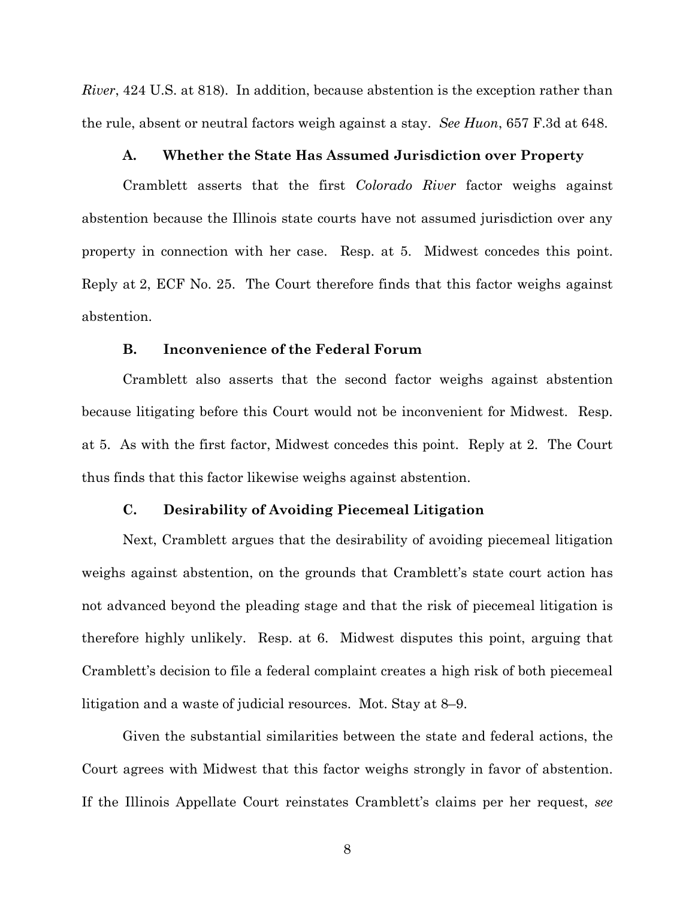*River*, 424 U.S. at 818). In addition, because abstention is the exception rather than the rule, absent or neutral factors weigh against a stay. *See Huon*, 657 F.3d at 648.

## **A. Whether the State Has Assumed Jurisdiction over Property**

Cramblett asserts that the first *Colorado River* factor weighs against abstention because the Illinois state courts have not assumed jurisdiction over any property in connection with her case. Resp. at 5. Midwest concedes this point. Reply at 2, ECF No. 25. The Court therefore finds that this factor weighs against abstention.

# **B. Inconvenience of the Federal Forum**

Cramblett also asserts that the second factor weighs against abstention because litigating before this Court would not be inconvenient for Midwest. Resp. at 5. As with the first factor, Midwest concedes this point. Reply at 2. The Court thus finds that this factor likewise weighs against abstention.

#### **C. Desirability of Avoiding Piecemeal Litigation**

Next, Cramblett argues that the desirability of avoiding piecemeal litigation weighs against abstention, on the grounds that Cramblett's state court action has not advanced beyond the pleading stage and that the risk of piecemeal litigation is therefore highly unlikely. Resp. at 6. Midwest disputes this point, arguing that Cramblett's decision to file a federal complaint creates a high risk of both piecemeal litigation and a waste of judicial resources. Mot. Stay at 8–9.

Given the substantial similarities between the state and federal actions, the Court agrees with Midwest that this factor weighs strongly in favor of abstention. If the Illinois Appellate Court reinstates Cramblett's claims per her request, *see*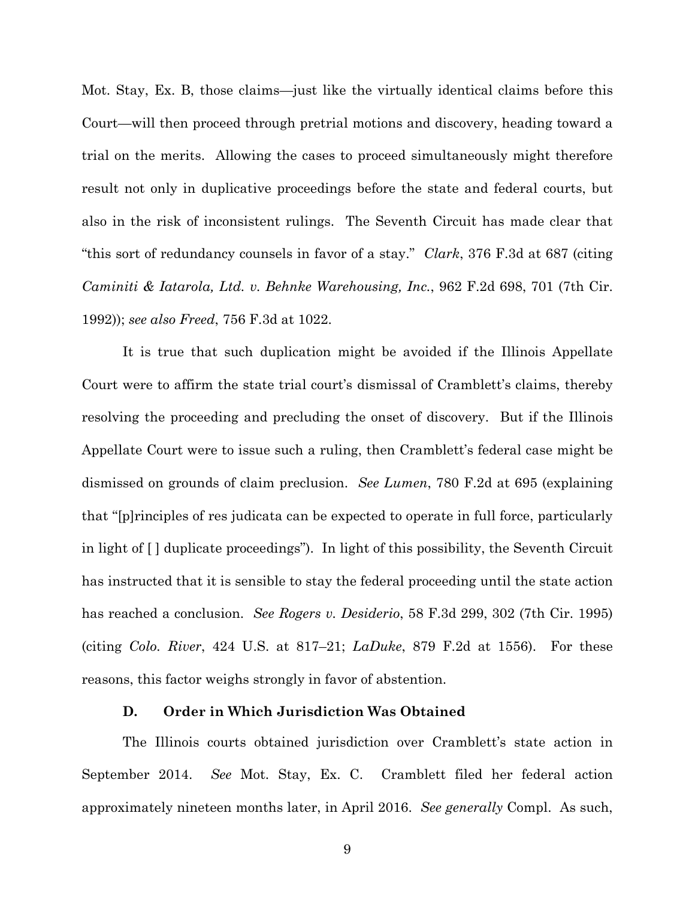Mot. Stay, Ex. B, those claims—just like the virtually identical claims before this Court—will then proceed through pretrial motions and discovery, heading toward a trial on the merits. Allowing the cases to proceed simultaneously might therefore result not only in duplicative proceedings before the state and federal courts, but also in the risk of inconsistent rulings. The Seventh Circuit has made clear that "this sort of redundancy counsels in favor of a stay." *Clark*, 376 F.3d at 687 (citing *Caminiti & Iatarola, Ltd. v. Behnke Warehousing, Inc.*, 962 F.2d 698, 701 (7th Cir. 1992)); *see also Freed*, 756 F.3d at 1022.

It is true that such duplication might be avoided if the Illinois Appellate Court were to affirm the state trial court's dismissal of Cramblett's claims, thereby resolving the proceeding and precluding the onset of discovery. But if the Illinois Appellate Court were to issue such a ruling, then Cramblett's federal case might be dismissed on grounds of claim preclusion. *See Lumen*, 780 F.2d at 695 (explaining that "[p]rinciples of res judicata can be expected to operate in full force, particularly in light of [ ] duplicate proceedings"). In light of this possibility, the Seventh Circuit has instructed that it is sensible to stay the federal proceeding until the state action has reached a conclusion. *See Rogers v. Desiderio*, 58 F.3d 299, 302 (7th Cir. 1995) (citing *Colo. River*, 424 U.S. at 817–21; *LaDuke*, 879 F.2d at 1556). For these reasons, this factor weighs strongly in favor of abstention.

#### **D. Order in Which Jurisdiction Was Obtained**

The Illinois courts obtained jurisdiction over Cramblett's state action in September 2014. *See* Mot. Stay, Ex. C. Cramblett filed her federal action approximately nineteen months later, in April 2016. *See generally* Compl. As such,

9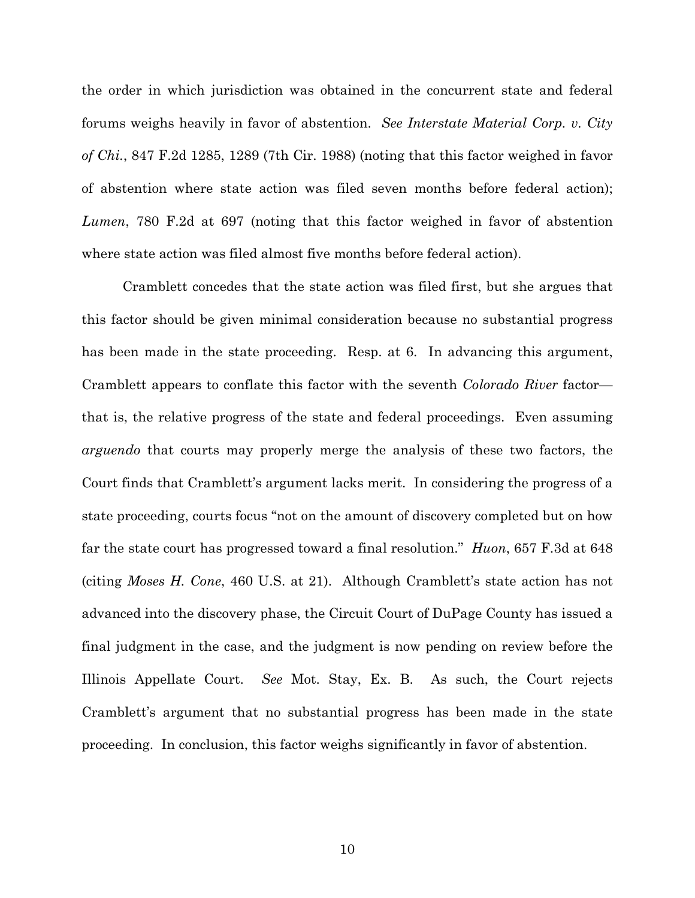the order in which jurisdiction was obtained in the concurrent state and federal forums weighs heavily in favor of abstention. *See Interstate Material Corp. v. City of Chi.*, 847 F.2d 1285, 1289 (7th Cir. 1988) (noting that this factor weighed in favor of abstention where state action was filed seven months before federal action); *Lumen*, 780 F.2d at 697 (noting that this factor weighed in favor of abstention where state action was filed almost five months before federal action).

Cramblett concedes that the state action was filed first, but she argues that this factor should be given minimal consideration because no substantial progress has been made in the state proceeding. Resp. at 6. In advancing this argument, Cramblett appears to conflate this factor with the seventh *Colorado River* factor that is, the relative progress of the state and federal proceedings. Even assuming *arguendo* that courts may properly merge the analysis of these two factors, the Court finds that Cramblett's argument lacks merit. In considering the progress of a state proceeding, courts focus "not on the amount of discovery completed but on how far the state court has progressed toward a final resolution." *Huon*, 657 F.3d at 648 (citing *Moses H. Cone*, 460 U.S. at 21). Although Cramblett's state action has not advanced into the discovery phase, the Circuit Court of DuPage County has issued a final judgment in the case, and the judgment is now pending on review before the Illinois Appellate Court. *See* Mot. Stay, Ex. B. As such, the Court rejects Cramblett's argument that no substantial progress has been made in the state proceeding. In conclusion, this factor weighs significantly in favor of abstention.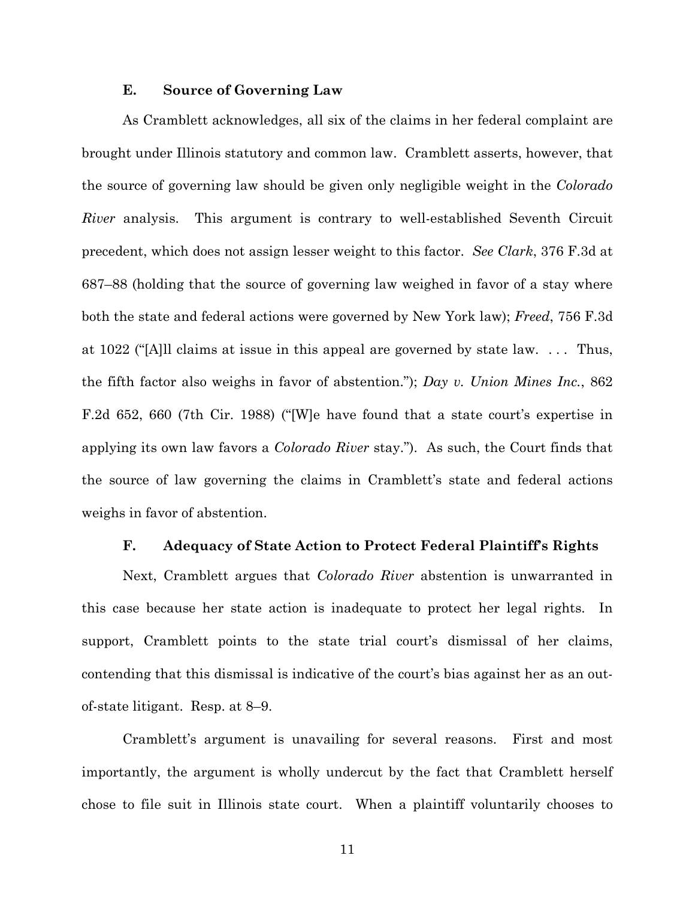#### **E. Source of Governing Law**

As Cramblett acknowledges, all six of the claims in her federal complaint are brought under Illinois statutory and common law. Cramblett asserts, however, that the source of governing law should be given only negligible weight in the *Colorado River* analysis. This argument is contrary to well-established Seventh Circuit precedent, which does not assign lesser weight to this factor. *See Clark*, 376 F.3d at 687–88 (holding that the source of governing law weighed in favor of a stay where both the state and federal actions were governed by New York law); *Freed*, 756 F.3d at 1022 ("[A]ll claims at issue in this appeal are governed by state law. . . . Thus, the fifth factor also weighs in favor of abstention."); *Day v. Union Mines Inc.*, 862 F.2d 652, 660 (7th Cir. 1988) ("[W]e have found that a state court's expertise in applying its own law favors a *Colorado River* stay."). As such, the Court finds that the source of law governing the claims in Cramblett's state and federal actions weighs in favor of abstention.

#### **F. Adequacy of State Action to Protect Federal Plaintiff's Rights**

Next, Cramblett argues that *Colorado River* abstention is unwarranted in this case because her state action is inadequate to protect her legal rights. In support, Cramblett points to the state trial court's dismissal of her claims, contending that this dismissal is indicative of the court's bias against her as an outof-state litigant. Resp. at 8–9.

Cramblett's argument is unavailing for several reasons. First and most importantly, the argument is wholly undercut by the fact that Cramblett herself chose to file suit in Illinois state court. When a plaintiff voluntarily chooses to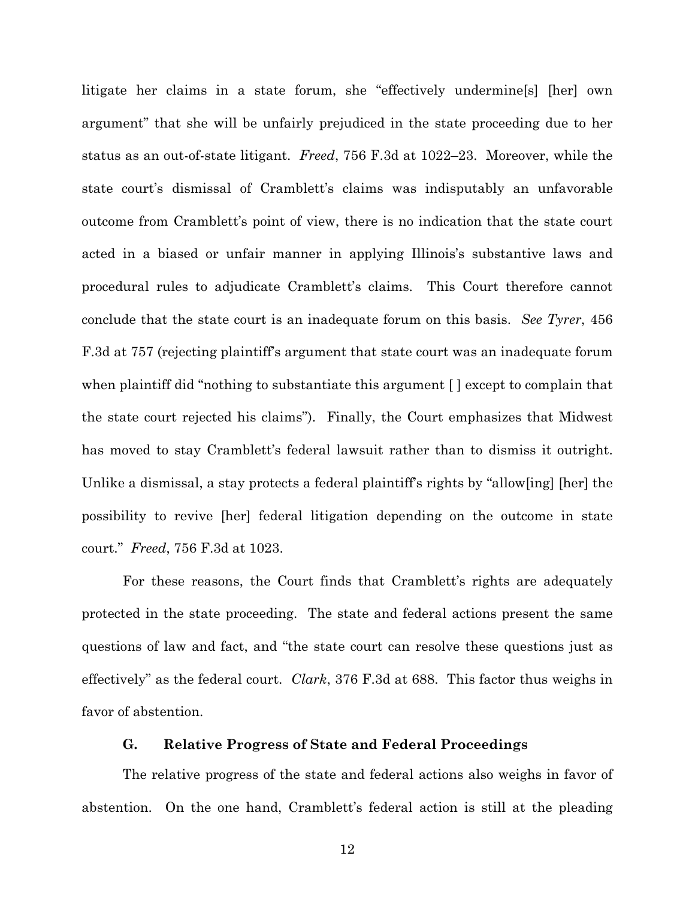litigate her claims in a state forum, she "effectively undermine[s] [her] own argument" that she will be unfairly prejudiced in the state proceeding due to her status as an out-of-state litigant. *Freed*, 756 F.3d at 1022–23. Moreover, while the state court's dismissal of Cramblett's claims was indisputably an unfavorable outcome from Cramblett's point of view, there is no indication that the state court acted in a biased or unfair manner in applying Illinois's substantive laws and procedural rules to adjudicate Cramblett's claims. This Court therefore cannot conclude that the state court is an inadequate forum on this basis. *See Tyrer*, 456 F.3d at 757 (rejecting plaintiff's argument that state court was an inadequate forum when plaintiff did "nothing to substantiate this argument [ ] except to complain that the state court rejected his claims"). Finally, the Court emphasizes that Midwest has moved to stay Cramblett's federal lawsuit rather than to dismiss it outright. Unlike a dismissal, a stay protects a federal plaintiff's rights by "allow[ing] [her] the possibility to revive [her] federal litigation depending on the outcome in state court." *Freed*, 756 F.3d at 1023.

For these reasons, the Court finds that Cramblett's rights are adequately protected in the state proceeding. The state and federal actions present the same questions of law and fact, and "the state court can resolve these questions just as effectively" as the federal court. *Clark*, 376 F.3d at 688. This factor thus weighs in favor of abstention.

# **G. Relative Progress of State and Federal Proceedings**

The relative progress of the state and federal actions also weighs in favor of abstention. On the one hand, Cramblett's federal action is still at the pleading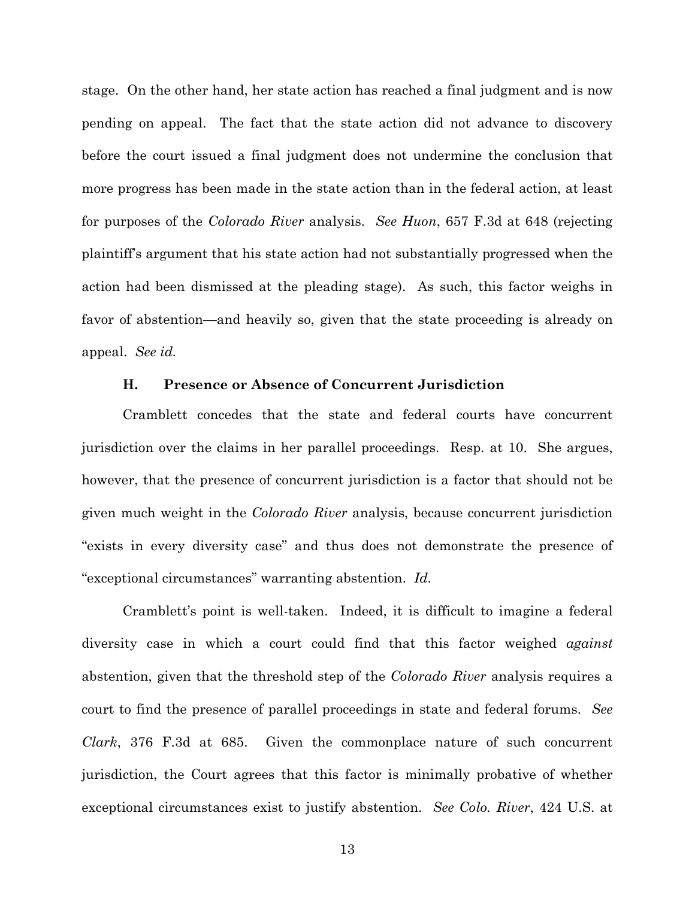stage. On the other hand, her state action has reached a final judgment and is now pending on appeal. The fact that the state action did not advance to discovery before the court issued a final judgment does not undermine the conclusion that more progress has been made in the state action than in the federal action, at least for purposes of the *Colorado River* analysis. *See Huon*, 657 F.3d at 648 (rejecting plaintiff's argument that his state action had not substantially progressed when the action had been dismissed at the pleading stage). As such, this factor weighs in favor of abstention—and heavily so, given that the state proceeding is already on appeal. *See id.*

#### **H. Presence or Absence of Concurrent Jurisdiction**

Cramblett concedes that the state and federal courts have concurrent jurisdiction over the claims in her parallel proceedings. Resp. at 10. She argues, however, that the presence of concurrent jurisdiction is a factor that should not be given much weight in the *Colorado River* analysis, because concurrent jurisdiction "exists in every diversity case" and thus does not demonstrate the presence of "exceptional circumstances" warranting abstention. *Id.*

Cramblett's point is well-taken. Indeed, it is difficult to imagine a federal diversity case in which a court could find that this factor weighed *against* abstention, given that the threshold step of the *Colorado River* analysis requires a court to find the presence of parallel proceedings in state and federal forums. *See Clark*, 376 F.3d at 685. Given the commonplace nature of such concurrent jurisdiction, the Court agrees that this factor is minimally probative of whether exceptional circumstances exist to justify abstention. *See Colo. River*, 424 U.S. at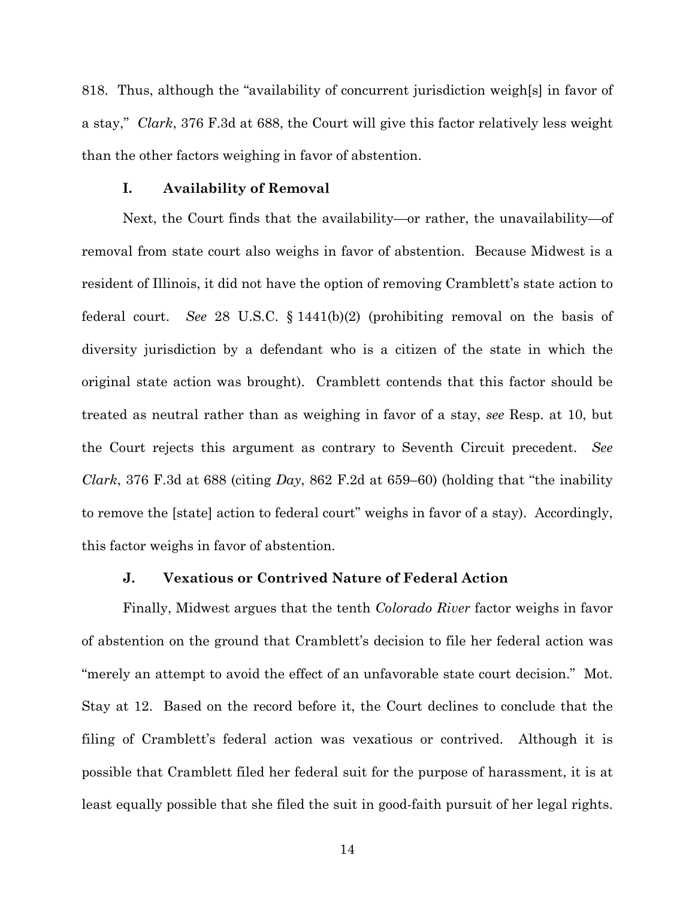818. Thus, although the "availability of concurrent jurisdiction weigh[s] in favor of a stay," *Clark*, 376 F.3d at 688, the Court will give this factor relatively less weight than the other factors weighing in favor of abstention.

# **I. Availability of Removal**

Next, the Court finds that the availability—or rather, the unavailability—of removal from state court also weighs in favor of abstention. Because Midwest is a resident of Illinois, it did not have the option of removing Cramblett's state action to federal court. *See* 28 U.S.C. § 1441(b)(2) (prohibiting removal on the basis of diversity jurisdiction by a defendant who is a citizen of the state in which the original state action was brought). Cramblett contends that this factor should be treated as neutral rather than as weighing in favor of a stay, *see* Resp. at 10, but the Court rejects this argument as contrary to Seventh Circuit precedent. *See Clark*, 376 F.3d at 688 (citing *Day*, 862 F.2d at 659–60) (holding that "the inability to remove the [state] action to federal court" weighs in favor of a stay). Accordingly, this factor weighs in favor of abstention.

### **J. Vexatious or Contrived Nature of Federal Action**

Finally, Midwest argues that the tenth *Colorado River* factor weighs in favor of abstention on the ground that Cramblett's decision to file her federal action was "merely an attempt to avoid the effect of an unfavorable state court decision." Mot. Stay at 12. Based on the record before it, the Court declines to conclude that the filing of Cramblett's federal action was vexatious or contrived. Although it is possible that Cramblett filed her federal suit for the purpose of harassment, it is at least equally possible that she filed the suit in good-faith pursuit of her legal rights.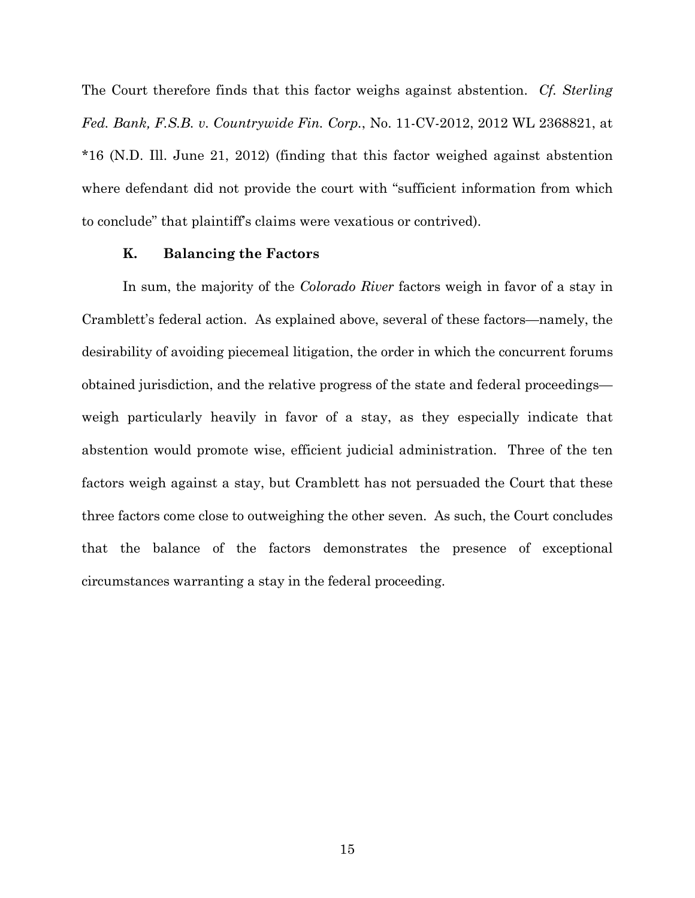The Court therefore finds that this factor weighs against abstention. *Cf. Sterling Fed. Bank, F.S.B. v. Countrywide Fin. Corp.*, No. 11-CV-2012, 2012 WL 2368821, at \*16 (N.D. Ill. June 21, 2012) (finding that this factor weighed against abstention where defendant did not provide the court with "sufficient information from which to conclude" that plaintiff's claims were vexatious or contrived).

## **K. Balancing the Factors**

In sum, the majority of the *Colorado River* factors weigh in favor of a stay in Cramblett's federal action. As explained above, several of these factors—namely, the desirability of avoiding piecemeal litigation, the order in which the concurrent forums obtained jurisdiction, and the relative progress of the state and federal proceedings weigh particularly heavily in favor of a stay, as they especially indicate that abstention would promote wise, efficient judicial administration. Three of the ten factors weigh against a stay, but Cramblett has not persuaded the Court that these three factors come close to outweighing the other seven. As such, the Court concludes that the balance of the factors demonstrates the presence of exceptional circumstances warranting a stay in the federal proceeding.